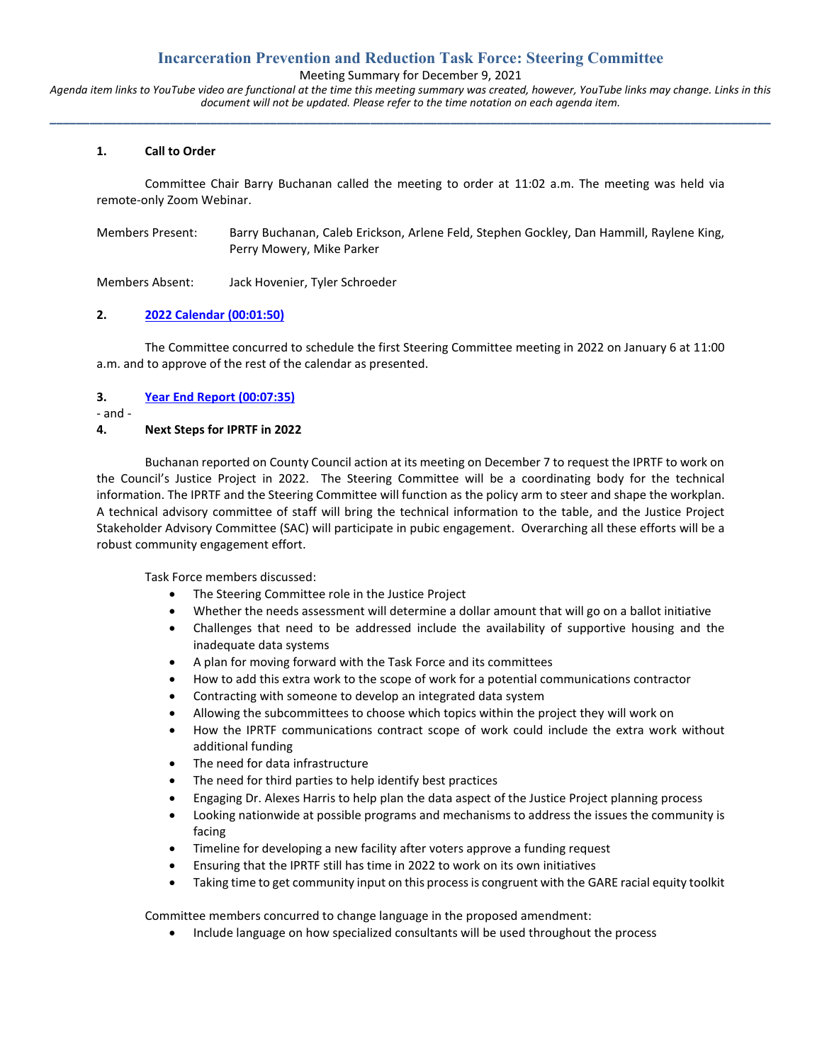# **Incarceration Prevention and Reduction Task Force: Steering Committee**

Meeting Summary for December 9, 2021

*Agenda item links to YouTube video are functional at the time this meeting summary was created, however, YouTube links may change. Links in this document will not be updated. Please refer to the time notation on each agenda item.* **\_\_\_\_\_\_\_\_\_\_\_\_\_\_\_\_\_\_\_\_\_\_\_\_\_\_\_\_\_\_\_\_\_\_\_\_\_\_\_\_\_\_\_\_\_\_\_\_\_\_\_\_\_\_\_\_\_\_\_\_\_\_\_\_\_\_\_\_\_\_\_\_\_\_\_\_\_\_\_\_\_\_\_\_\_\_\_\_\_\_\_\_\_\_\_\_\_\_\_\_\_\_\_\_\_\_\_\_**

### **1. Call to Order**

Committee Chair Barry Buchanan called the meeting to order at 11:02 a.m. The meeting was held via remote-only Zoom Webinar.

Members Present: Barry Buchanan, Caleb Erickson, Arlene Feld, Stephen Gockley, Dan Hammill, Raylene King, Perry Mowery, Mike Parker

Members Absent: Jack Hovenier, Tyler Schroeder

### **2. [2022 Calendar](https://youtu.be/PALVivldBls?t=109) (00:01:50)**

The Committee concurred to schedule the first Steering Committee meeting in 2022 on January 6 at 11:00 a.m. and to approve of the rest of the calendar as presented.

### **3. [Year End Report](https://youtu.be/PALVivldBls?t=454) (00:07:35)**

- and -

## **4. Next Steps for IPRTF in 2022**

Buchanan reported on County Council action at its meeting on December 7 to request the IPRTF to work on the Council's Justice Project in 2022. The Steering Committee will be a coordinating body for the technical information. The IPRTF and the Steering Committee will function as the policy arm to steer and shape the workplan. A technical advisory committee of staff will bring the technical information to the table, and the Justice Project Stakeholder Advisory Committee (SAC) will participate in pubic engagement. Overarching all these efforts will be a robust community engagement effort.

Task Force members discussed:

- The Steering Committee role in the Justice Project
- Whether the needs assessment will determine a dollar amount that will go on a ballot initiative
- Challenges that need to be addressed include the availability of supportive housing and the inadequate data systems
- A plan for moving forward with the Task Force and its committees
- How to add this extra work to the scope of work for a potential communications contractor
- Contracting with someone to develop an integrated data system
- Allowing the subcommittees to choose which topics within the project they will work on
- How the IPRTF communications contract scope of work could include the extra work without additional funding
- The need for data infrastructure
- The need for third parties to help identify best practices
- Engaging Dr. Alexes Harris to help plan the data aspect of the Justice Project planning process
- Looking nationwide at possible programs and mechanisms to address the issues the community is facing
- Timeline for developing a new facility after voters approve a funding request
- Ensuring that the IPRTF still has time in 2022 to work on its own initiatives
- Taking time to get community input on this process is congruent with the GARE racial equity toolkit

Committee members concurred to change language in the proposed amendment:

• Include language on how specialized consultants will be used throughout the process